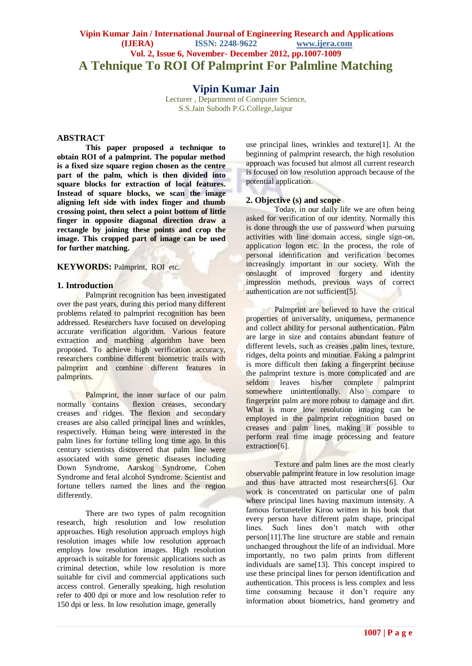# **Vipin Kumar Jain / International Journal of Engineering Research and Applications (IJERA) ISSN: 2248-9622 www.ijera.com Vol. 2, Issue 6, November- December 2012, pp.1007-1009 A Tehnique To ROI Of Palmprint For Palmline Matching**

# **Vipin Kumar Jain**

Lecturer , Department of Computer Science, S.S.Jain Subodh P.G.College,Jaipur

## **ABSTRACT**

**This paper proposed a technique to obtain ROI of a palmprint. The popular method is a fixed size square region chosen as the centre part of the palm, which is then divided into square blocks for extraction of local features. Instead of square blocks, we scan the image aligning left side with index finger and thumb crossing point, then select a point bottom of little finger in opposite diagonal direction draw a rectangle by joining these points and crop the image. This cropped part of image can be used for further matching.** 

### **KEYWORDS:** Palmprint, ROI etc.

#### **1. Introduction**

Palmprint recognition has been investigated over the past years, during this period many different problems related to palmprint recognition has been addressed. Researchers have focused on developing accurate verification algorithm. Various feature extraction and matching algorithm have been proposed. To achieve high verification accuracy, researchers combine different biometric trails with palmprint and combine different features in palmprints.

Palmprint, the inner surface of our palm normally contains flexion creases, secondary creases and ridges. The flexion and secondary creases are also called principal lines and wrinkles, respectively. Human being were interested in the palm lines for fortune telling long time ago. In this century scientists discovered that palm line were associated with some genetic diseases including Down Syndrome, Aarskog Syndrome, Cohen Syndrome and fetal alcohol Syndrome. Scientist and fortune tellers named the lines and the region differently.

There are two types of palm recognition research, high resolution and low resolution approaches. High resolution approach employs high resolution images while low resolution approach employs low resolution images. High resolution approach is suitable for forensic applications such as criminal detection, while low resolution is more suitable for civil and commercial applications such access control. Generally speaking, high resolution refer to 400 dpi or more and low resolution refer to 150 dpi or less. In low resolution image, generally

use principal lines, wrinkles and texture[1]. At the beginning of palmprint research, the high resolution approach was focused but almost all current research is focused on low resolution approach because of the potential application.

#### **2. Objective (s) and scope**

Today, in our daily life we are often being asked for verification of our identity. Normally this is done through the use of password when pursuing activities with line domain access, single sign-on, application logon etc. In the process, the role of personal identification and verification becomes increasingly important in our society. With the onslaught of improved forgery and identity impression methods, previous ways of correct authentication are not sufficient[5].

Palmprint are believed to have the critical properties of universality, uniqueness, permanence and collect ability for personal authentication. Palm are large in size and contains abundant feature of different levels, such as creases ,palm lines, texture, ridges, delta points and minutiae. Faking a palmprint is more difficult then faking a fingerprint because the palmprint texture is more complicated and are seldom leaves his/her complete palmprint somewhere unintentionally. Also compare to fingerprint palm are more robust to damage and dirt. What is more low resolution imaging can be employed in the palmprint recognition based on creases and palm lines, making it possible to perform real time image processing and feature extraction[6].

Texture and palm lines are the most clearly observable palmprint feature in low resolution image and thus have attracted most researchers[6]. Our work is concentrated on particular one of palm where principal lines having maximum intensity. A famous fortuneteller Kiroo written in his book that every person have different palm shape, principal lines. Such lines don't match with other person[11].The line structure are stable and remain unchanged throughout the life of an individual. More importantly, no two palm prints from different individuals are same[13]. This concept inspired to use these principal lines for person identification and authentication. This process is less complex and less time consuming because it don't require any information about biometrics, hand geometry and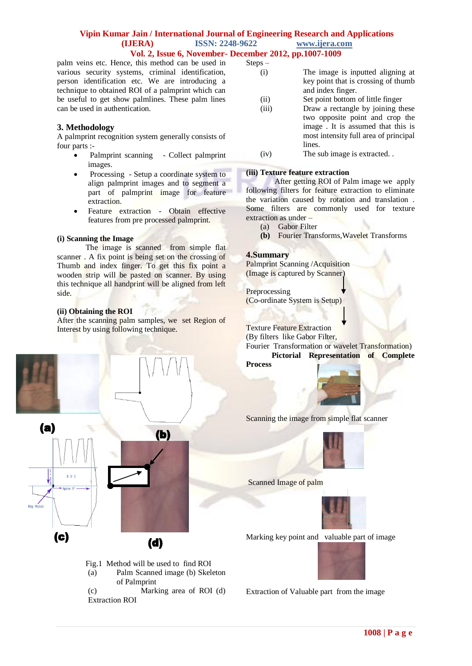## **Vipin Kumar Jain / International Journal of Engineering Research and Applications (IJERA) ISSN: 2248-9622 www.ijera.com Vol. 2, Issue 6, November- December 2012, pp.1007-1009**

palm veins etc. Hence, this method can be used in various security systems, criminal identification, person identification etc. We are introducing a technique to obtained ROI of a palmprint which can be useful to get show palmlines. These palm lines can be used in authentication.

# **3. Methodology**

A palmprint recognition system generally consists of four parts :-

- Palmprint scanning Collect palmprint images.
- Processing Setup a coordinate system to align palmprint images and to segment a part of palmprint image for feature extraction.
- Feature extraction Obtain effective features from pre processed palmprint.

#### **(i) Scanning the Image**

The image is scanned from simple flat scanner . A fix point is being set on the crossing of Thumb and index finger. To get this fix point a wooden strip will be pasted on scanner. By using this technique all handprint will be aligned from left side.

### **(ii) Obtaining the ROI**

After the scanning palm samples, we set Region of Interest by using following technique.



- Fig.1 Method will be used to find ROI
- (a) Palm Scanned image (b) Skeleton of Palmprint

(c) Marking area of ROI (d) Extraction ROI

| Steps – |                                       |
|---------|---------------------------------------|
| (i)     | The image is inputted aligning at     |
|         | key point that is crossing of thumb   |
|         | and index finger.                     |
| (i)     | Set point bottom of little finger     |
| (iii)   | Draw a rectangle by joining these     |
|         | two opposite point and crop the       |
|         | image. It is assumed that this is     |
|         | most intensity full area of principal |
|         | lines.                                |

(iv) The sub image is extracted. .

#### **(iii) Texture feature extraction**

After getting ROI of Palm image we apply following filters for feature extraction to eliminate the variation caused by rotation and translation . Some filters are commonly used for texture extraction as under –

- (a) Gabor Filter
- **(b)** Fourier Transforms,Wavelet Transforms

## **4.Summary**

Palmprint Scanning /Acquisition (Image is captured by Scanner)

Preprocessing (Co-ordinate System is Setup)

Texture Feature Extraction

(By filters like Gabor Filter,

Fourier Transformation or wavelet Transformation) **Pictorial Representation of Complete** 

**Process**



Scanning the image from simple flat scanner



Scanned Image of palm



Marking key point and valuable part of image

Extraction of Valuable part from the image